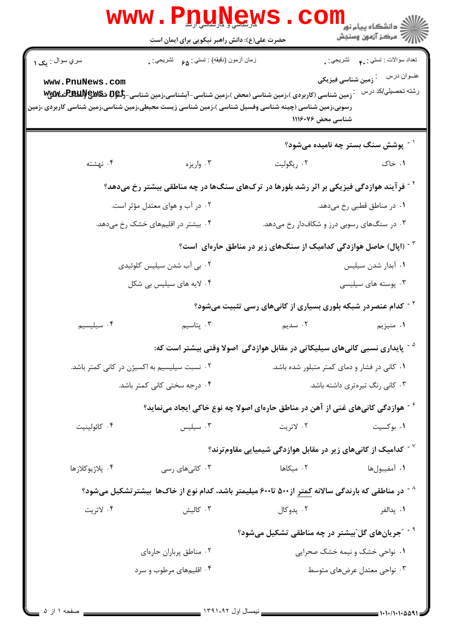| <b>WWW</b>                                                                                           | <b>QUINGY</b><br>حضرت علی(ع): دانش راهبر نیکویی برای ایمان است |                                                                                                                | ڪ دانشڪاه پيام نور<br><mark>∕</mark> 7 مرڪز آزمون وسنڊش                                                            |
|------------------------------------------------------------------------------------------------------|----------------------------------------------------------------|----------------------------------------------------------------------------------------------------------------|--------------------------------------------------------------------------------------------------------------------|
| سري سوال : پک ١<br>www.PnuNews.com                                                                   | زمان أزمون (دقيقه) : تستى: 98     تشريحي : .                   |                                                                                                                | تعداد سوالات : تستبي : ٩.٠       تشريحي : .<br>عنــوان درس<br><sup>:</sup> زمین شناسی فیزیکی<br>رشته تحصيلي/كد درس |
| رسوبی،زمین شناسی (چینه شناسی وفسیل شناسی )،زمین شناسی زیست محیطی،زمین شناسی،زمین شناسی کاربردی ،زمین |                                                                | شناسی محض ۱۱۱۶۰۷۶                                                                                              |                                                                                                                    |
|                                                                                                      |                                                                |                                                                                                                | یوشش سنگ بستر چه نامیده میشود؟ $^{\text{-}}$                                                                       |
| ۰۴ نهشته                                                                                             | ۰۳ واريزه                                                      | ۰۲ ریگولیت                                                                                                     | ۰۱ خاک                                                                                                             |
|                                                                                                      |                                                                | <sup>۲</sup> <sup>-</sup> فرآیند هوازدگی فیزیکی بر اثر رشد بلورها در ترکهای سنگها در چه مناطقی بیشتر رخ میدهد؟ |                                                                                                                    |
|                                                                                                      | ۰۲ در آب و هوای معتدل مؤثر است.                                |                                                                                                                | ۰۱ در مناطق قطبی رخ میدهد.                                                                                         |
| ۰۴ بیشتر در اقلیمهای خشک رخ میدهد.                                                                   |                                                                | ۰۳ در سنگهای رسوبی درز و شکافدار رخ میدهد.                                                                     |                                                                                                                    |
|                                                                                                      |                                                                | <sup>۳ -</sup> (اپال) حاصل هوازدگی کدامیک از سنگهای زیر در مناطق حارهای  است؟                                  |                                                                                                                    |
|                                                                                                      | ۰۲ بی آب شدن سیلیس کلوئیدی                                     |                                                                                                                | ٠١. آبدار شدن سيليس                                                                                                |
|                                                                                                      | ۰۴ لایه های سیلیس بی شکل                                       |                                                                                                                | ۰۳ پوسته های سیلیسی                                                                                                |
|                                                                                                      |                                                                | <sup>۶ -</sup> کدام عنصردر شبکه بلوری بسیاری از کانیهای رسی تثبیت میشود؟                                       |                                                                                                                    |
| ۰۴ سیلیسیم                                                                                           | ۰۳ پتاسیم                                                      | ۲. سدیم                                                                                                        | ۰۱ منیزیم                                                                                                          |
|                                                                                                      |                                                                | <sup>۵ -</sup> پایداری نسبی کانیهای سیلیکاتی در مقابل هوازدگی  اصولا وقتی بیشتر است که:                        |                                                                                                                    |
|                                                                                                      | ۰۲ نسبت سیلیسیم به اکسیژن در کانی کمتر باشد.                   | ۰۱ کانی در فشار و دمای کمتر متبلور شده باشد.                                                                   |                                                                                                                    |
| ۰۴ درجه سختی کانی کمتر باشد.<br>۰۳ کانی رنگ تیرهتری داشته باشد.                                      |                                                                |                                                                                                                |                                                                                                                    |
|                                                                                                      |                                                                | <sup>۶ -</sup> هوازدگی کانیهای غنی از آهن در مناطق حارهای اصولا چه نوع خاکی ایجاد مینماید؟                     |                                                                                                                    |
| ۰۴ كائولينيت                                                                                         | $\cdot$ ۳ سیلیس                                                | ۰۲ لاتريت                                                                                                      | ۰۱ بوکسیت                                                                                                          |
|                                                                                                      |                                                                | $^{\circ}$ کدامیک از کانیهای زیر در مقابل هوازدگی شیمیایی مقاومترند $^{\circ}$                                 |                                                                                                                    |
| ۰۴ پلاژيوکلازها                                                                                      | ۰۳ کانیهای رسی                                                 | ۰۲ میکاها                                                                                                      | ٠١ آمفيبولها                                                                                                       |
|                                                                                                      |                                                                | <sup>^ -</sup> در مناطقی که بارندگی سالانه کمتر از۵۰۰ تا۶۰۰ میلیمتر باشد، کدام نوع از خاکها بیشترتشکیل میشود؟  |                                                                                                                    |
| ۰۴ لاتريت                                                                                            | ۰۳ کالیش                                                       | ۰۲ پدوکال                                                                                                      | ٠١. پدالفر                                                                                                         |
|                                                                                                      |                                                                | <sup>۹ -</sup> "جریانهای گل <i>"</i> بیشتر در چه مناطقی تشکیل میشود؟                                           |                                                                                                                    |
|                                                                                                      | ۰۲ مناطق پرباران حارهای                                        |                                                                                                                | ۰۱ نواحی خشک و نیمه خشک صحرایی                                                                                     |
|                                                                                                      | ۰۴ اقلیمهای مرطوب و سرد                                        |                                                                                                                | ۰۳ نواحی معتدل عرضهای متوسط                                                                                        |
|                                                                                                      |                                                                |                                                                                                                |                                                                                                                    |

 $\overline{a}$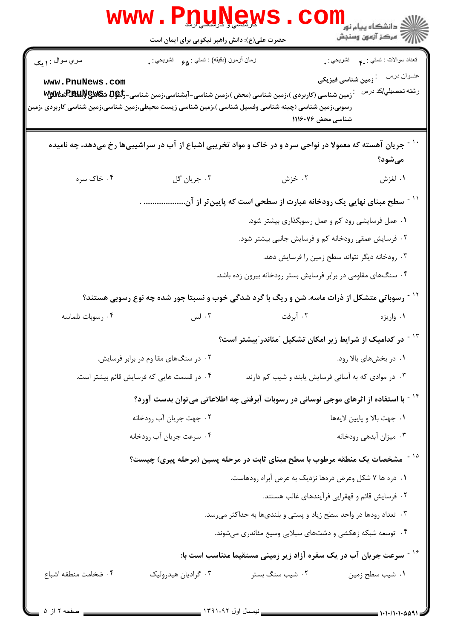|                        | www.PnuNew                                                                                                                                                                                                                   |                                                                                    |                                                                     |
|------------------------|------------------------------------------------------------------------------------------------------------------------------------------------------------------------------------------------------------------------------|------------------------------------------------------------------------------------|---------------------------------------------------------------------|
|                        | حضرت علی(ع): دانش راهبر نیکویی برای ایمان است                                                                                                                                                                                |                                                                                    | ڪ دانشڪاه پيا <sub>م</sub> نور<br><mark>√</mark> مرڪز آزمون وسنڊش   |
| سري سوال : <b>۱ يک</b> | زمان أزمون (دقيقه) : تستى : وي فسل تشريحي : .                                                                                                                                                                                |                                                                                    | نعداد سوالات : نستني : <sub>م</sub> م       نشريحي : <sub>.</sub>   |
| www.PnuNews.com        | زمین شناسی (کاربردی )،زمین شناسی (محض )،زمین شناسی-آبشناسی،زمین شناسی-گ <del>ل</del> هله شکلالایپلالاللایسی-گلبالایی<br>رسوبی،زمین شناسی (چینه شناسی وفسیل شناسی )،زمین شناسی زیست محیطی،زمین شناسی،زمین شناسی کاربردی ،زمین | شناسی محض ۱۱۱۶۰۷۶                                                                  | عنــوان درس<br><sup>.</sup> زمین شناسی فیزیکی<br>رشته تحصیلی/کد درس |
|                        | جریان آهسته که معمولا در نواحی سرد و در خاک و مواد تخریبی اشباع از آب در سراشیبیها رخ میدهد، چه نامیده                                                                                                                       |                                                                                    | مىشود؟                                                              |
| ۰۴ خاک سره             | ۰۳ جريان گل                                                                                                                                                                                                                  | ۰۲ خزش                                                                             | ۰۱ لغزش                                                             |
|                        |                                                                                                                                                                                                                              | ّ ` ` ~ سطح مبنای نهایی یک رودخانه عبارت از سطحی است که پایین <i>ت</i> ر از آن     |                                                                     |
|                        |                                                                                                                                                                                                                              | ۰۱ عمل فرسایشی رود کم و عمل رسوبگذاری بیشتر شود.                                   |                                                                     |
|                        |                                                                                                                                                                                                                              | ۰۲ فرسایش عمقی رودخانه کم و فرسایش جانبی بیشتر شود.                                |                                                                     |
|                        |                                                                                                                                                                                                                              | ۰۳ رودخانه دیگر نتواند سطح زمین را فرسایش دهد.                                     |                                                                     |
|                        |                                                                                                                                                                                                                              | ۰۴ سنگهای مقاومی در برابر فرسایش بستر رودخانه بیرون زده باشد.                      |                                                                     |
|                        | <sup>۱۲ -</sup> رسوباتی متشکل از ذرات ماسه. شن و ریگ با گرد شدگی خوب و نسبتا جور شده چه نوع رسوبی هستند؟                                                                                                                     |                                                                                    |                                                                     |
| ۰۴ رسوبات تلماسه       | ۰۳ لس                                                                                                                                                                                                                        | ۰۲ آبرفت                                                                           | ۰۱ واريزه                                                           |
|                        |                                                                                                                                                                                                                              | <sup>۱۳ -</sup> در کدامیک از شرایط زیر امکان تشکیل <sup>"</sup> مئاندر "بیشتر است؟ |                                                                     |
|                        | ۰۲ در سنگهای مقا وم در برابر فرسایش.                                                                                                                                                                                         |                                                                                    | ۰۱ در بخشهای بالا رود.                                              |
|                        | ۰۴ در قسمت هایی که فرسایش قائم بیشتر است.                                                                                                                                                                                    | ۰۳ در موادی که به آسانی فرسایش یابند و شیب کم دارند.                               |                                                                     |
|                        | <sup>۱۴ -</sup> با استفاده از اثرهای موجی نوسانی در رسوبات آبرفتی چه اطلاعاتی میتوان بدست آورد؟                                                                                                                              |                                                                                    |                                                                     |
|                        | ۰۲ جهت جريان آب رودخانه                                                                                                                                                                                                      |                                                                                    | ٠١ جهت بالا و پايين لايهها                                          |
|                        | ۰۴ سرعت جريان أب رودخانه                                                                                                                                                                                                     |                                                                                    | ۰۳ میزان آبدهی رودخانه                                              |
|                        | <sup>۱۵ -</sup> مشخصات یک منطقه مرطوب با سطح مبنای ثابت در مرحله پسین (مرحله پیری) چیست؟                                                                                                                                     |                                                                                    |                                                                     |
|                        |                                                                                                                                                                                                                              | ۰۱ دره ها ۷ شکل وعرض درهها نزدیک به عرض آبراه رودهاست.                             |                                                                     |
|                        |                                                                                                                                                                                                                              | ۰۲ فرسایش قائم و قهقرایی فرآیندهای غالب هستند.                                     |                                                                     |
|                        |                                                                                                                                                                                                                              | ۰۳ تعداد رودها در واحد سطح زیاد و پستی و بلندیها به حداکثر میرسد.                  |                                                                     |
|                        |                                                                                                                                                                                                                              | ۰۴ توسعه شبکه زهکشی و دشتهای سیلابی وسیع مئاندری میشوند.                           |                                                                     |
|                        |                                                                                                                                                                                                                              | <sup>۱۶ -</sup> سرعت جریان آب در یک سفره آزاد زیر زمینی مستقیما متناسب است با:     |                                                                     |
|                        |                                                                                                                                                                                                                              |                                                                                    |                                                                     |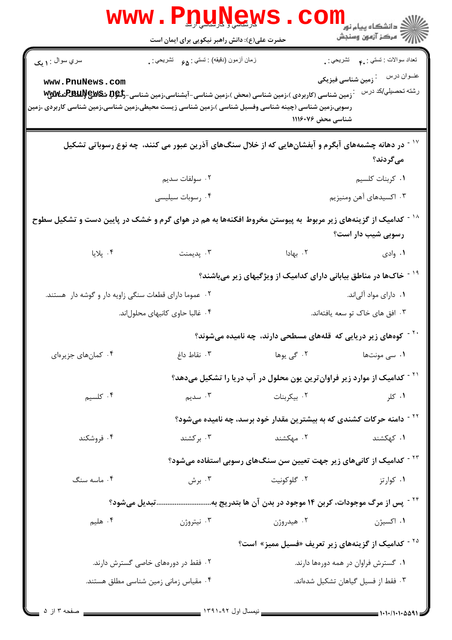|                                                       | <b>www.P<u>nune</u>ws</b><br>حضرت علی(ع): دانش راهبر نیکویی برای ایمان است                                          |                                                                                     | الا دانشگاه پیام نور COILL<br>این مرکز آزمون وسنجش<br>این مسیحیت |
|-------------------------------------------------------|---------------------------------------------------------------------------------------------------------------------|-------------------------------------------------------------------------------------|------------------------------------------------------------------|
| سري سوال : ۱ يک                                       | زمان أزمون (دقيقه) : تستي : <sub>۶۵</sub> تشريحي : <sub>•</sub>                                                     |                                                                                     | تعداد سوالات : تستبي : ٩. تشريحي : .                             |
| www.PnuNews.com                                       | <b>7 زمین شناسی (کاربردی )،زمین شناسی (محض )،زمین شناسی-آبشناسی،زمین شناسی-گِلْگِلِگِلِگَلِگُلگِلگِلْگِلِگ</b><br>. |                                                                                     | رشته تحصيلي/كد درس                                               |
|                                                       | رسوبی،زمین شناسی (چینه شناسی وفسیل شناسی )،زمین شناسی زیست محیطی،زمین شناسی،زمین شناسی کاربردی ،زمین                | شناسی محض ۱۱۱۶۰۷۶                                                                   |                                                                  |
|                                                       | ٔ در دهانه چشمههای آبگرم و آبفشانهایی که از خلال سنگهای آذرین عبور می کنند، چه نوع رسوباتی تشکیل $^{\sim}$          |                                                                                     | مىگردند؟                                                         |
|                                                       | ۰۲ سولفات سدیم                                                                                                      |                                                                                     | ۰۱ کربنات کلسیم                                                  |
|                                                       | ۰۴ رسوبات سیلیسی                                                                                                    |                                                                                     | ۰۳ اکسیدهای آهن ومنیزیم                                          |
|                                                       | کدامیک از گزینههای زیر مربوط به پیوستن مخروط افکنهها به هم در هوای گرم و خشک در پایین دست و تشکیل سطوح              |                                                                                     | رسوبی شیب دار است؟                                               |
| ۰۴ پلایا                                              | ۰۳ پدیمنت                                                                                                           | ۰۲ بهادا                                                                            | ۰۱ وادی                                                          |
|                                                       |                                                                                                                     | خاکها در مناطق بیابانی دارای کدامیک از ویژگیهای زیر میباشند؟                        |                                                                  |
| ۰۲ عموما دارای قطعات سنگی زاویه دار و گوشه دار هستند. |                                                                                                                     |                                                                                     | ۰۱ دارای مواد آلیاند.                                            |
|                                                       | ۰۴ غالبا حاوى كانيهاى محلولاند.                                                                                     | ۰۳ افق های خاک تو سعه یافتهاند.                                                     |                                                                  |
|                                                       |                                                                                                                     | <sup>۲۰ -</sup> کوههای زیر دریایی که قلههای مسطحی دارند، چه نامیده میشوند؟          |                                                                  |
| ۰۴ کمانهای جزیرهای                                    | ۰۳ نقاط داغ                                                                                                         |                                                                                     |                                                                  |
|                                                       |                                                                                                                     | <sup>۲۱ -</sup> کدامیک از موارد زیر فراوانترین یون محلول در آب دریا را تشکیل میدهد؟ |                                                                  |
| ۰۴ کلسیم                                              | ۰۳ سدیم                                                                                                             | ۰۲ بیکربنات                                                                         | ۰۱ کلر                                                           |
|                                                       |                                                                                                                     | <sup>۲۲ -</sup> دامنه حرکات کشندی که به بیشترین مقدار خود برسد، چه نامیده میشود؟    |                                                                  |
| ۰۴ فروشکند                                            | ۰۳ برکشند                                                                                                           | ۰۲ مهکشند                                                                           | ۰۱ کهکشند                                                        |
|                                                       |                                                                                                                     | <sup>۲۳ -</sup> کدامیک از کانیهای زیر جهت تعیین سن سنگهای رسوبی استفاده میشود؟      |                                                                  |
| ۰۴ ماسه سنگ                                           | ۰۳ برش                                                                                                              | ۰۲ گلوکونیت                                                                         | ۰۱ کوارتز                                                        |
|                                                       | <sup>۲۴ -</sup> پس از مرگ موجودات، کربن ۱۴ موجود در بدن آن ها بتدریج بهو میشود؟                                     |                                                                                     |                                                                  |
| ۰۴ هلیم                                               | ۰۳ نیتروژن                                                                                                          | ۰۲ هیدروژن                                                                          | ۰۱ اکسیژن                                                        |
|                                                       |                                                                                                                     | <sup>۲۵ -</sup> کدامیک از گزینههای زیر تعریف «فسیل ممیز» است؟                       |                                                                  |
| ۰۲ فقط در دورههای خاصی گسترش دارند.                   |                                                                                                                     | ۰۱ گسترش فراوان در همه دورهها دارند.                                                |                                                                  |
|                                                       | ۰۴ مقیاس زمانی زمین شناسی مطلق هستند.                                                                               |                                                                                     | ۰۳ فقط از فسیل گیاهان تشکیل شدهاند.                              |
| صفحه ١٣ ٥                                             |                                                                                                                     |                                                                                     |                                                                  |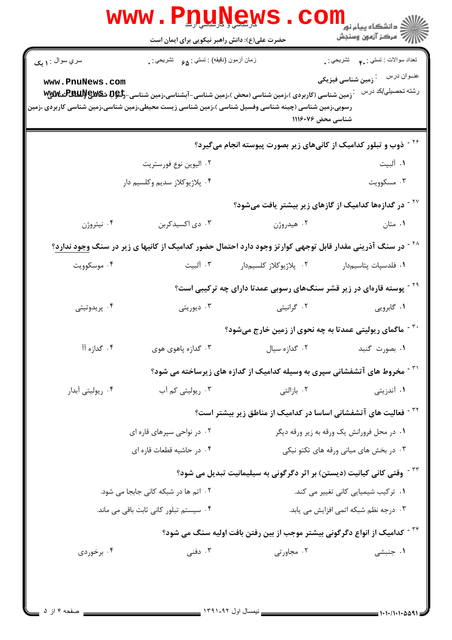|                                                                                                                         | <b>WWW</b><br><u>IQUINGW</u><br>حضرت علی(ع): دانش راهبر نیکویی برای ایمان است   |                                                                                                                                        | ر دانشڪاه پيام نور ■<br>// مرکز آزمون وسنڊش                         |
|-------------------------------------------------------------------------------------------------------------------------|---------------------------------------------------------------------------------|----------------------------------------------------------------------------------------------------------------------------------------|---------------------------------------------------------------------|
| سري سوال : ۱ يک                                                                                                         | زمان أزمون (دقيقه) : تستى : 98     تشريحي : .                                   |                                                                                                                                        | تعداد سوالات : تستي : <sub>۴۰</sub> تشريحي : .                      |
| www.PnuNews.com<br>رسوبی،زمین شناسی (چینه شناسی وفسیل شناسی )،زمین شناسی زیست محیطی،زمین شناسی،زمین شناسی کاربردی ،زمین |                                                                                 | ّ زمین شناسی (کاربردی )،زمین شناسی (محض )،زمین شناسی-آبشناسی،زمین شناسی-گ <b>لپوتا شگاللایپاللاللالای (REBLU)</b><br>شناسی محض ۱۱۱۶۰۷۶ | عنــوان درس<br><sup>:</sup> زمین شناسی فیزیکی<br>رشته تحصيلي/كد درس |
|                                                                                                                         |                                                                                 | <sup>۲۶ -</sup> ذوب و تبلور کدامیک از کانیهای زیر بصورت پیوسته انجام میگیرد؟                                                           |                                                                     |
|                                                                                                                         | ۰۲ اليوين نوع فورستريت                                                          |                                                                                                                                        | ۰۱ آلبیت                                                            |
|                                                                                                                         | ۰۴ پلاژيوکلاز سديم وکلسيم دار                                                   |                                                                                                                                        | ۰۳ مسکوویت                                                          |
| <sup>۲۷ -</sup> در گدازهها کدامیک از گازهای زیر بیشتر یافت میشود؟                                                       |                                                                                 |                                                                                                                                        |                                                                     |
| ۰۴ نیتروژن                                                                                                              | ۰۳ دی اکسیدکربن                                                                 | ۰۲ هیدروژن                                                                                                                             | ۰۱ متان                                                             |
|                                                                                                                         |                                                                                 | <sup>۲۸ -</sup> در سنگ آذرینی مقدار قابل توجهی کوارتز وجود دارد احتمال حضور کدامیک از کانیها ی زیر در سنگ <u>وجود ندارد</u> ؟          |                                                                     |
| ۰۴ موسکوویت                                                                                                             | ۰۳ آلبیت                                                                        | ۰۲ پلاژیوکلاز کلسیمدار                                                                                                                 | ٠١ فلدسپات پتاسيم١دار                                               |
|                                                                                                                         |                                                                                 | <sup>۲۹ -</sup> پوسته قارهای در زیر قشر سنگهای رسوبی عمدتا دارای چه ترکیبی است؟                                                        |                                                                     |
| ۰۴ پريدوتيتى                                                                                                            | ۰۳ دیوریتی                                                                      | ۰۲ گرانیتی                                                                                                                             | ۰۱ گابرویی                                                          |
|                                                                                                                         |                                                                                 | <sup>۳۰ -</sup> ماگمای ریولیتی عمدتا به چه نحوی از زمین خارج میشود؟                                                                    |                                                                     |
| ۰۴ گدازه آآ                                                                                                             | ۰۳ گدازه پاهوي هوي                                                              | ۰۲ گدازه سيال                                                                                                                          | ۰۱ بصورت گنبد                                                       |
|                                                                                                                         |                                                                                 | <sup>۳۱ -</sup> مخروط های آتشفشانی سپری به وسیله کدامیک از گدازه های زیرساخته می شود؟                                                  |                                                                     |
| ۰۴ ریولیتی آبدار                                                                                                        | ۰۳ ریولیتی کم آب                                                                | ۰۲ بازالتی                                                                                                                             | ۰۱ آندزیتی                                                          |
|                                                                                                                         |                                                                                 | <sup>۳۲ -</sup> فعالیت های آتشفشانی اساسا در کدامیک از مناطق زیر بیشتر است؟                                                            |                                                                     |
|                                                                                                                         | ۰۱ در محل فرورانش یک ورقه به زیر ورقه دیگر<br>۰۲ در نواحی سپرهای قاره ای        |                                                                                                                                        |                                                                     |
|                                                                                                                         | ۰۴ در حاشیه قطعات قاره ای                                                       | ۰۳ در بخش های میانی ورقه های تکتو نیکی                                                                                                 |                                                                     |
|                                                                                                                         |                                                                                 | <sup>۳۳ -</sup> وقتی کانی کیانیت (دیستن) بر اثر دگرگونی به سیلیمانیت تبدیل می شود؟                                                     |                                                                     |
| ۰۲ اتم ها در شبکه کانی جابجا می شود.                                                                                    |                                                                                 | ٠١ تركيب شيميايي كاني تغيير مي كند.                                                                                                    |                                                                     |
|                                                                                                                         | ۰۳ درجه نظم شبکه اتمی افزایش می یابد.<br>۰۴ سیستم تبلور کانی ثابت باقی می ماند. |                                                                                                                                        |                                                                     |
|                                                                                                                         |                                                                                 | <sup>۳۴ -</sup> کدامیک از انواع دگرگونی بیشتر موجب از بین رفتن بافت اولیه سنگ می شود؟                                                  |                                                                     |
| ۰۴ برخوردی                                                                                                              | ۰۳ دفنی                                                                         | ۰۲ مجاورتی                                                                                                                             | ۰۱ جنبشی                                                            |
|                                                                                                                         |                                                                                 |                                                                                                                                        |                                                                     |
|                                                                                                                         |                                                                                 |                                                                                                                                        |                                                                     |